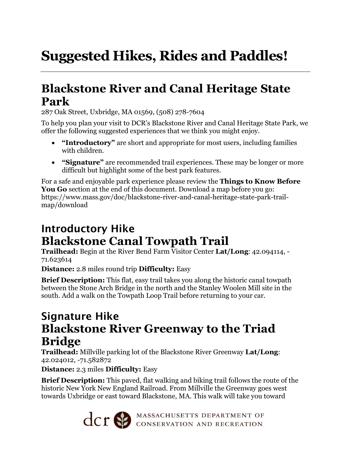# **Suggested Hikes, Rides and Paddles!**

# **Blackstone River and Canal Heritage State Park**

287 Oak Street, Uxbridge, MA 01569, (508) 278-7604

To help you plan your visit to DCR's Blackstone River and Canal Heritage State Park, we offer the following suggested experiences that we think you might enjoy.

- **"Introductory"** are short and appropriate for most users, including families with children.
- **"Signature"** are recommended trail experiences. These may be longer or more difficult but highlight some of the best park features.

For a safe and enjoyable park experience please review the **Things to Know Before You Go** section at the end of this document. Download a map before you go: https://www.mass.gov/doc/blackstone-river-and-canal-heritage-state-park-trailmap/download

#### Introductory Hike **Blackstone Canal Towpath Trail**

**Trailhead:** Begin at the River Bend Farm Visitor Center **Lat/Long**: 42.094114, - 71.623614

**Distance:** 2.8 miles round trip **Difficulty:** Easy

**Brief Description:** This flat, easy trail takes you along the historic canal towpath between the Stone Arch Bridge in the north and the Stanley Woolen Mill site in the south. Add a walk on the Towpath Loop Trail before returning to your car.

#### Signature Hike **Blackstone River Greenway to the Triad Bridge**

**Trailhead:** Millville parking lot of the Blackstone River Greenway **Lat/Long**: 42.024012, -71.582872

**Distance:** 2.3 miles **Difficulty:** Easy

**Brief Description:** This paved, flat walking and biking trail follows the route of the historic New York New England Railroad. From Millville the Greenway goes west towards Uxbridge or east toward Blackstone, MA. This walk will take you toward

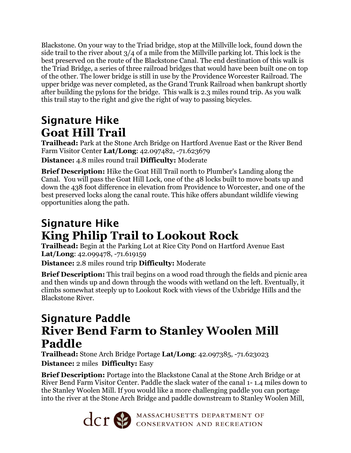Blackstone. On your way to the Triad bridge, stop at the Millville lock, found down the side trail to the river about  $3/4$  of a mile from the Millville parking lot. This lock is the best preserved on the route of the Blackstone Canal. The end destination of this walk is the Triad Bridge, a series of three railroad bridges that would have been built one on top of the other. The lower bridge is still in use by the Providence Worcester Railroad. The upper bridge was never completed, as the Grand Trunk Railroad when bankrupt shortly after building the pylons for the bridge. This walk is 2.3 miles round trip. As you walk this trail stay to the right and give the right of way to passing bicycles.

# Signature Hike **Goat Hill Trail**

**Trailhead:** Park at the Stone Arch Bridge on Hartford Avenue East or the River Bend Farm Visitor Center **Lat/Long**: 42.097482, -71.623679

**Distance:** 4.8 miles round trail **Difficulty:** Moderate

**Brief Description:** Hike the Goat Hill Trail north to Plumber's Landing along the Canal. You will pass the Goat Hill Lock, one of the 48 locks built to move boats up and down the 438 foot difference in elevation from Providence to Worcester, and one of the best preserved locks along the canal route. This hike offers abundant wildlife viewing opportunities along the path.

# Signature Hike **King Philip Trail to Lookout Rock**

**Trailhead:** Begin at the Parking Lot at Rice City Pond on Hartford Avenue East **Lat/Long**: 42.099478, -71.619159

**Distance:** 2.8 miles round trip **Difficulty:** Moderate

**Brief Description:** This trail begins on a wood road through the fields and picnic area and then winds up and down through the woods with wetland on the left. Eventually, it climbs somewhat steeply up to Lookout Rock with views of the Uxbridge Hills and the Blackstone River.

### Signature Paddle **River Bend Farm to Stanley Woolen Mill Paddle**

**Trailhead:** Stone Arch Bridge Portage **Lat/Long**: 42.097385, -71.623023 **Distance:** 2 miles **Difficulty:** Easy

**Brief Description:** Portage into the Blackstone Canal at the Stone Arch Bridge or at River Bend Farm Visitor Center. Paddle the slack water of the canal 1- 1.4 miles down to the Stanley Woolen Mill. If you would like a more challenging paddle you can portage into the river at the Stone Arch Bridge and paddle downstream to Stanley Woolen Mill,

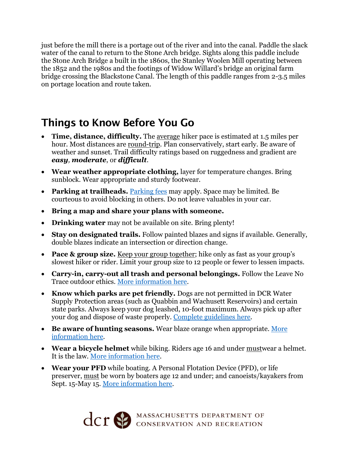just before the mill there is a portage out of the river and into the canal. Paddle the slack water of the canal to return to the Stone Arch bridge. Sights along this paddle include the Stone Arch Bridge a built in the 1860s, the Stanley Woolen Mill operating between the 1852 and the 1980s and the footings of Widow Willard's bridge an original farm bridge crossing the Blackstone Canal. The length of this paddle ranges from 2-3.5 miles on portage location and route taken.

#### Things to Know Before You Go

- **Time, distance, difficulty.** The average hiker pace is estimated at 1.5 miles per hour. Most distances are round-trip. Plan conservatively, start early. Be aware of weather and sunset. Trail difficulty ratings based on ruggedness and gradient are *easy, moderate*, or *difficult*.
- **Wear weather appropriate clothing,** layer for temperature changes. Bring sunblock. Wear appropriate and sturdy footwear.
- **Parking at trailheads.** [Parking fees](https://www.mass.gov/guides/parking-at-massachusetts-state-parks) may apply. Space may be limited. Be courteous to avoid blocking in others. Do not leave valuables in your car.
- **Bring a map and share your plans with someone.**
- **Drinking water** may not be available on site. Bring plenty!
- **Stay on designated trails.** Follow painted blazes and signs if available. Generally, double blazes indicate an intersection or direction change.
- **Pace & group size.** Keep your group together; hike only as fast as your group's slowest hiker or rider. Limit your group size to 12 people or fewer to lessen impacts.
- **Carry-in, carry-out all trash and personal belongings.** Follow the Leave No Trace outdoor ethics. [More information](https://lnt.org/why/7-principles/) here.
- **Know which parks are pet friendly.** Dogs are not permitted in DCR Water Supply Protection areas (such as Quabbin and Wachusett Reservoirs) and certain state parks. Always keep your dog leashed, 10-foot maximum. Always pick up after your dog and dispose of waste properly. [Complete guidelines](https://www.mass.gov/guides/dogs-in-dcr-parks) here.
- **Be aware of hunting seasons.** Wear blaze orange when appropriate. [More](https://www.mass.gov/hunting-regulations)  [information](https://www.mass.gov/hunting-regulations) here.
- **Wear a bicycle helmet** while biking. Riders age 16 and under mustwear a helmet. It is the law. [More information here.](https://www.mass.gov/info-details/massachusetts-law-about-bicycles)
- **Wear your PFD** while boating. A Personal Flotation Device (PFD), or life preserver, must be worn by boaters age 12 and under; and canoeists/kayakers from Sept. 15-May 15. [More information here.](https://www.mass.gov/service-details/boating-safety)